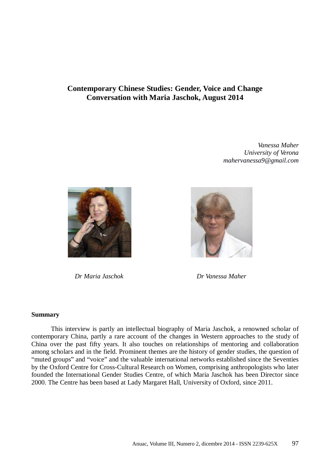# **Contemporary Chinese Studies: Gender, Voice and Change Conversation with Maria Jaschok, August 2014**

*Vanessa Maher University of Verona mahervanessa9@gmail.com*



 *Dr Maria Jaschok Dr Vanessa Maher*



#### **Summary**

 This interview is partly an intellectual biography of Maria Jaschok, a renowned scholar of contemporary China, partly a rare account of the changes in Western approaches to the study of China over the past fifty years. It also touches on relationships of mentoring and collaboration among scholars and in the field. Prominent themes are the history of gender studies, the question of "muted groups" and "voice" and the valuable international networks established since the Seventies by the Oxford Centre for Cross-Cultural Research on Women, comprising anthropologists who later founded the International Gender Studies Centre, of which Maria Jaschok has been Director since 2000. The Centre has been based at Lady Margaret Hall, University of Oxford, since 2011.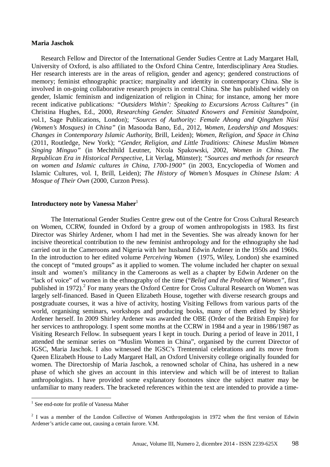#### **Maria Jaschok**

 Research Fellow and Director of the International Gender Sudies Centre at Lady Margaret Hall, University of Oxford, is also affiliated to the Oxford China Centre, Interdisciplinary Area Studies. Her research interests are in the areas of religion, gender and agency; gendered constructions of memory; feminist ethnographic practice; marginality and identity in contemporary China. She is involved in on-going collaborative research projects in central China. She has published widely on gender, Islamic feminism and indigenization of religion in China; for instance, among her more recent indicative publications*: "Outsiders Within': Speaking to Excursions Across Cultures"* (in Christina Hughes, Ed., 2000, *Researching Gender. Situated Knowers and Feminist Standpoint, v*ol.1, Sage Publications, London); *"Sources of Authority: Female Ahong and Qingzhen Nüsi (Women's Mosques) in China"* (in Masooda Bano, Ed., 2012, *Women, Leadership and Mosques: Changes in Contemporary Islamic Authority,* Brill, Leiden); *Women, Religion, and Space in China*  (2011, Routledge, New York); *"Gender, Religion, and Little Traditions: Chinese Muslim Women Singing Minguo"* (in Mechthild Leutner, Nicola Spakowski, 2002, *Women in China. The Republican Era in Historical Perspective,* Lit Verlag, Münster); *"Sources and methods for research on women and Islamic cultures in China, 1700-1900"* (in 2003, Encyclopedia of Women and Islamic Cultures, vol. I, Brill, Leiden); *The History of Women's Mosques in Chinese Islam: A Mosque of Their Own* (2000, Curzon Press).

#### **Introductory note by Vanessa Maher**<sup>1</sup>

The International Gender Studies Centre grew out of the Centre for Cross Cultural Research on Women, CCRW, founded in Oxford by a group of women anthropologists in 1983. Its first Director was Shirley Ardener, whom I had met in the Seventies. She was already known for her incisive theoretical contribution to the new feminist anthropology and for the ethnography she had carried out in the Cameroons and Nigeria with her husband Edwin Ardener in the 1950s and 1960s. In the introduction to her edited volume *Perceiving Women* (1975, Wiley, London) she examined the concept of "muted groups" as it applied to women. The volume included her chapter on sexual insult and women's militancy in the Cameroons as well as a chapter by Edwin Ardener on the "lack of voice" of women in the ethnography of the time ("*Belief and the Problem of Women"*, first published in 1972).<sup>2</sup> For many years the Oxford Centre for Cross Cultural Research on Women was largely self-financed. Based in Queen Elizabeth House, together with diverse research groups and postgraduate courses, it was a hive of activity, hosting Visiting Fellows from various parts of the world, organising seminars, workshops and producing books, many of them edited by Shirley Ardener herself. In 2009 Shirley Ardener was awarded the OBE (Order of the British Empire) for her services to anthropology. I spent some months at the CCRW in 1984 and a year in 1986/1987 as Visiting Research Fellow. In subsequent years I kept in touch. During a period of leave in 2011, I attended the seminar series on "Muslim Women in China", organised by the current Director of IGSC, Maria Jaschok. I also witnessed the IGSC's Trentennial celebrations and its move from Queen Elizabeth House to Lady Margaret Hall, an Oxford University college originally founded for women. The Directorship of Maria Jaschok, a renowned scholar of China, has ushered in a new phase of which she gives an account in this interview and which will be of interest to Italian anthropologists. I have provided some explanatory footnotes since the subject matter may be unfamiliar to many readers. The bracketed references within the text are intended to provide a time-

 $\overline{a}$ 

<sup>&</sup>lt;sup>1</sup> See end-note for profile of Vanessa Maher

 $2$  I was a member of the London Collective of Women Anthropologists in 1972 when the first version of Edwin Ardener's article came out, causing a certain furore. V.M.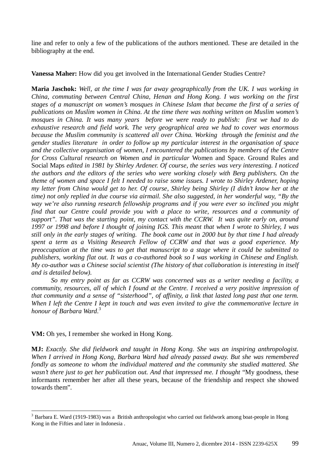line and refer to only a few of the publications of the authors mentioned. These are detailed in the bibliography at the end.

**Vanessa Maher:** How did you get involved in the International Gender Studies Centre?

**Maria Jaschok:** *Well, at the time I was far away geographically from the UK. I was working in China, commuting between Central China, Henan and Hong Kong. I was working on the first stages of a manuscript on women's mosques in Chinese Islam that became the first of a series of publications on Muslim women in China. At the time there was nothing written on Muslim women's mosques in China. It was many years before we were ready to publish: first we had to do exhaustive research and field work. The very geographical area we had to cover was enormous because the Muslim community is scattered all over China. Working through the feminist and the gender studies literature in order to follow up my particular interest in the organisation of space and the collective organisation of women, I encountered the publications by members of the Centre for Cross Cultural research on Women and in particular* Women and Space. Ground Rules and Social Maps *edited in 1981 by Shirley Ardener. Of course, the series was very interesting. I noticed the authors and the editors of the series who were working closely with Berg publishers. On the theme of women and space I felt I needed to raise some issues. I wrote to Shirley Ardener, hoping my letter from China would get to her. Of course, Shirley being Shirley (I didn't know her at the time) not only replied in due course via airmail. She also suggested, in her wonderful way, "By the way we're also running research fellowship programs and if you were ever so inclined you might*  find that our Centre could provide you with a place to write, resources and a community of *support". That was the starting point, my contact with the CCRW. It was quite early on, around 1997 or 1998 and before I thought of joining IGS. This meant that when I wrote to Shirley, I was still only in the early stages of writing. The book came out in 2000 but by that time I had already spent a term as a Visiting Research Fellow of CCRW and that was a good experience. My preoccupation at the time was to get that manuscript to a stage where it could be submitted to publishers, working flat out. It was a co-authored book so I was working in Chinese and English. My co-author was a Chinese social scientist (The history of that collaboration is interesting in itself and is detailed below).* 

*So my entry point as far as CCRW was concerned was as a writer needing a facility, a community, resources, all of which I found at the Centre. I received a very positive impression of that community and a sense of "sisterhood", of affinity, a link that lasted long past that one term. When I left the Centre I kept in touch and was even invited to give the commemorative lecture in honour of Barbara Ward*. 3

**VM:** Oh yes, I remember she worked in Hong Kong.

**MJ:** *Exactly. She did fieldwork and taught in Hong Kong. She was an inspiring anthropologist. When I arrived in Hong Kong, Barbara Ward had already passed away. But she was remembered fondly as someone to whom the individual mattered and the community she studied mattered. She*  wasn't there just to get her publication out. And that impressed me. I thought "My goodness, these informants remember her after all these years, because of the friendship and respect she showed towards them".

 $\overline{a}$ <sup>3</sup> Barbara E. Ward (1919-1983) was a British anthropologist who carried out fieldwork among boat-people in Hong Kong in the Fifties and later in Indonesia .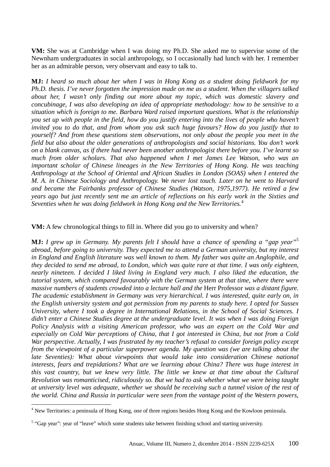**VM:** She was at Cambridge when I was doing my Ph.D. She asked me to supervise some of the Newnham undergraduates in social anthropology, so I occasionally had lunch with her. I remember her as an admirable person, very observant and easy to talk to.

**MJ:** *I heard so much about her when I was in Hong Kong as a student doing fieldwork for my Ph.D. thesis. I've never forgotten the impression made on me as a student. When the villagers talked about her, I wasn't only finding out more about my topic, which was domestic slavery and concubinage, I was also developing an idea of appropriate methodology: how to be sensitive to a situation which is foreign to me. Barbara Ward raised important questions. What is the relationship you set up with people in the field, how do you justify entering into the lives of people who haven't invited you to do that, and from whom you ask such huge favours? How do you justify that to yourself? And from these questions stem observations, not only about the people you meet in the field but also about the older generations of anthropologists and social historians. You don't work on a blank canvas, as if there had never been another anthropologist there before you. I've learnt so much from older scholars. That also happened when I met James Lee Watson, who was an important scholar of Chinese lineages in the New Territories of Hong Kong. He was teaching Anthropology at the School of Oriental and African Studies in London (SOAS) when I entered the M. A. in Chinese Sociology and Anthropology. We never lost touch. Later on he went to Harvard and became the Fairbanks professor of Chinese Studies (Watson, 1975,1977). He retired a few years ago but just recently sent me an article of reflections on his early work in the Sixties and Seventies when he was doing fieldwork in Hong Kong and the New Territories.*<sup>4</sup>

**VM:** A few chronological things to fill in. Where did you go to university and when?

**MJ:** *I grew up in Germany. My parents felt I should have a chance of spending a "gap year"*<sup>5</sup> *abroad, before going to university. They expected me to attend a German university, but my interest in England and English literature was well known to them. My father was quite an Anglophile, and they decided to send me abroad, to London, which was quite rare at that time. I was only eighteen, nearly nineteen. I decided I liked living in England very much. I also liked the education, the tutorial system, which compared favourably with the German system at that time, where there were massive numbers of students crowded into a lecture hall and the* Herr Professor *was a distant figure. The academic establishment in Germany was very hierarchical. I was interested, quite early on, in the English university system and got permission from my parents to study here. I opted for Sussex University, where I took a degree in International Relations, in the School of Social Sciences. I didn't enter a Chinese Studies degree at the undergraduate level. It was when I was doing Foreign Policy Analysis with a visiting American professor, who was an expert on the Cold War and especially on Cold War perceptions of China, that I got interested in China, but not from a Cold War perspective. Actually, I was frustrated by my teacher's refusal to consider foreign policy except from the viewpoint of a particular superpower agenda. My question was (we are talking about the late Seventies): What about viewpoints that would take into consideration Chinese national interests, fears and trepidations? What are we learning about China? There was huge interest in this vast country, but we knew very little. The little we knew at that time about the Cultural Revolution was romanticised, ridiculously so. But we had to ask whether what we were being taught at university level was adequate, whether we should be receiving such a tunnel vision of the rest of the world. China and Russia in particular were seen from the vantage point of the Western powers,* 

 $\overline{a}$ <sup>4</sup> New Territories: a peninsula of Hong Kong, one of three regions besides Hong Kong and the Kowloon peninsula.

<sup>&</sup>lt;sup>5</sup> "Gap year": year of "leave" which some students take between finishing school and starting university.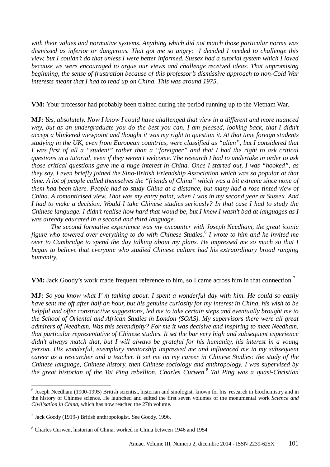*with their values and normative systems. Anything which did not match those particular norms was dismissed as inferior or dangerous. That got me so angry: I decided I needed to challenge this view, but I couldn't do that unless I were better informed. Sussex had a tutorial system which I loved because we were encouraged to argue our views and challenge received ideas. That unpromising beginning, the sense of frustration because of this professor's dismissive approach to non-Cold War interests meant that I had to read up on China. This was around 1975*.

### **VM:** Your professor had probably been trained during the period running up to the Vietnam War.

**MJ:** *Yes, absolutely. Now I know I could have challenged that view in a different and more nuanced*  way, but as an undergraduate you do the best you can. I am pleased, looking back, that I didn't *accept a blinkered viewpoint and thought it was my right to question it. At that time foreign students studying in the UK, even from European countries, were classified as "alien", but I considered that I was first of all a "student" rather than a "foreigner" and that I had the right to ask critical questions in a tutorial, even if they weren't welcome. The research I had to undertake in order to ask those critical questions gave me a huge interest in China. Once I started out, I was "hooked", as they say. I even briefly joined the Sino-British Friendship Association which was so popular at that time. A lot of people called themselves the "friends of China" which was a bit extreme since none of them had been there. People had to study China at a distance, but many had a rose-tinted view of China. A romanticised view. That was my entry point, when I was in my second year at Sussex. And I had to make a decision. Would I take Chinese studies seriously? In that case I had to study the Chinese language. I didn't realise how hard that would be, but I knew I wasn't bad at languages as I was already educated in a second and third language.* 

*The second formative experience was my encounter with Joseph Needham, the great iconic figure who towered over everything to do with Chinese Studies.*<sup>6</sup>  *I wrote to him and he invited me over to Cambridge to spend the day talking about my plans. He impressed me so much so that I began to believe that everyone who studied Chinese culture had his extraordinary broad ranging humanity.*

**VM:** Jack Goody's work made frequent reference to him, so I came across him in that connection.<sup>7</sup>

**MJ:** *So you know what I' m talking about. I spent a wonderful day with him. He could so easily have sent me off after half an hour, but his genuine curiosity for my interest in China, his wish to be helpful and offer constructive suggestions, led me to take certain steps and eventually brought me to the School of Oriental and African Studies in London (SOAS). My supervisors there were all great admirers of Needham. Was this serendipity? For me it was decisive and inspiring to meet Needham, that particular representative of Chinese studies. It set the bar very high and subsequent experience didn't always match that, but I will always be grateful for his humanity, his interest in a young person. His wonderful, exemplary mentorship impressed me and influenced me in my subsequent career as a researcher and a teacher. It set me on my career in Chinese Studies: the study of the Chinese language, Chinese history, then Chinese sociology and anthropology. I was supervised by the great historian of the Tai Ping rebellion, Charles Curwen.*<sup>8</sup>  *Tai Ping was a quasi-Christian* 

 $\overline{a}$ 

<sup>&</sup>lt;sup>6</sup> Joseph Needham (1900-1995) British scientist, historian and sinologist, known for his research in biochemistry and in the history of Chinese science. He launched and edited the first seven volumes of the monumental work *Science and Civilisation in China*, which has now reached the 27th volume.

<sup>&</sup>lt;sup>7</sup> Jack Goody (1919-) British anthropologist. See Goody, 1996.

<sup>8</sup> Charles Curwen, historian of China, worked in China between 1946 and 1954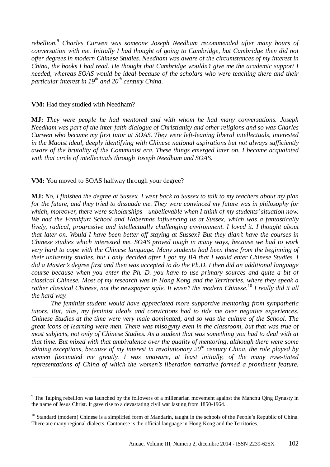*rebellion.*<sup>9</sup>  *Charles Curwen was someone Joseph Needham recommended after many hours of conversation with me. Initially I had thought of going to Cambridge, but Cambridge then did not offer degrees in modern Chinese Studies. Needham was aware of the circumstances of my interest in China, the books I had read. He thought that Cambridge wouldn't give me the academic support I needed, whereas SOAS would be ideal because of the scholars who were teaching there and their particular interest in 19th and 20th century China.*

#### **VM:** Had they studied with Needham?

 $\overline{a}$ 

**MJ:** *They were people he had mentored and with whom he had many conversations. Joseph Needham was part of the inter-faith dialogue of Christianity and other religions and so was Charles Curwen who became my first tutor at SOAS. They were left-leaning liberal intellectuals, interested in the Maoist ideal, deeply identifying with Chinese national aspirations but not always sufficiently aware of the brutality of the Communist era. These things emerged later on. I became acquainted with that circle of intellectuals through Joseph Needham and SOAS.* 

**VM:** You moved to SOAS halfway through your degree?

**MJ:** *No, I finished the degree at Sussex. I went back to Sussex to talk to my teachers about my plan for the future, and they tried to dissuade me. They were convinced my future was in philosophy for which, moreover, there were scholarships - unbelievable when I think of my students' situation now. We had the Frankfurt School and Habermas influencing us at Sussex, which was a fantastically lively, radical, progressive and intellectually challenging environment. I loved it. I thought about that later on. Would I have been better off staying at Sussex? But they didn't have the courses in Chinese studies which interested me. SOAS proved tough in many ways, because we had to work very hard to cope with the Chinese language. Many students had been there from the beginning of their university studies, but I only decided after I got my BA that I would enter Chinese Studies. I did a Master's degree first and then was accepted to do the Ph.D. I then did an additional language course because when you enter the Ph. D. you have to use primary sources and quite a bit of classical Chinese. Most of my research was in Hong Kong and the Territories, where they speak a rather classical Chinese, not the newspaper style. It wasn't the modern Chinese.*<sup>10</sup> *I really did it all the hard way.* 

*The feminist student would have appreciated more supportive mentoring from sympathetic tutors. But, alas, my feminist ideals and convictions had to tide me over negative experiences. Chinese Studies at the time were very male dominated, and so was the culture of the School. The great icons of learning were men. There was misogyny even in the classroom, but that was true of most subjects, not only of Chinese Studies. As a student that was something you had to deal with at that time. But mixed with that ambivalence over the quality of mentoring, although there were some shining exceptions, because of my interest in revolutionary 20th century China, the role played by women fascinated me greatly. I was unaware, at least initially, of the many rose-tinted representations of China of which the women's liberation narrative formed a prominent feature.* 

<sup>&</sup>lt;sup>9</sup> The Taiping rebellion was launched by the followers of a millenarian movement against the Manchu Qing Dynasty in the name of Jesus Christ. It gave rise to a devastating civil war lasting from 1850-1964.

<sup>&</sup>lt;sup>10</sup> Standard (modern) Chinese is a simplified form of Mandarin, taught in the schools of the People's Republic of China. There are many regional dialects. Cantonese is the official language in Hong Kong and the Territories.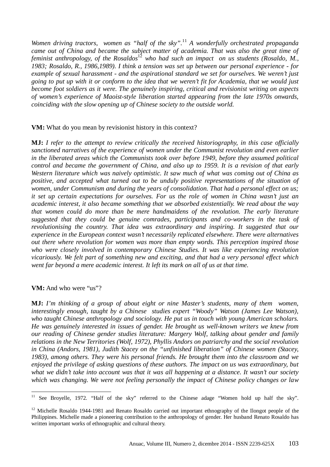*Women driving tractors, women as "half of the sky".* <sup>11</sup> *A wonderfully orchestrated propaganda came out of China and became the subject matter of academia. That was also the great time of*  feminist anthropology, of the Rosaldos<sup>12</sup> who had such an impact on us students (Rosaldo, M., *1983; Rosaldo, R., 1986,1989). I think a tension was set up between our personal experience - for example of sexual harassment - and the aspirational standard we set for ourselves. We weren't just going to put up with it or conform to the idea that we weren't fit for Academia, that we would just become foot soldiers as it were. The genuinely inspiring, critical and revisionist writing on aspects of women's experience of Maoist-style liberation started appearing from the late 1970s onwards, coinciding with the slow opening up of Chinese society to the outside world.*

**VM:** What do you mean by revisionist history in this context?

**MJ:** *I refer to the attempt to review critically the received historiography, in this case officially sanctioned narratives of the experience of women under the Communist revolution and even earlier in the liberated areas which the Communists took over before 1949, before they assumed political control and became the government of China, and also up to 1959. It is a revision of that early Western literature which was naively optimistic. It saw much of what was coming out of China as positive, and accepted what turned out to be unduly positive representations of the situation of women, under Communism and during the years of consolidation. That had a personal effect on us; it set up certain expectations for ourselves. For us the role of women in China wasn't just an academic interest, it also became something that we absorbed existentially. We read about the way that women could do more than be mere handmaidens of the revolution. The early literature suggested that they could be genuine comrades, participants and co-workers in the task of revolutionising the country. That idea was extraordinary and inspiring. It suggested that our experience in the European context wasn't necessarily replicated elsewhere. There were alternatives out there where revolution for women was more than empty words. This perception inspired those who were closely involved in contemporary Chinese Studies. It was like experiencing revolution vicariously. We felt part of something new and exciting, and that had a very personal effect which went far beyond a mere academic interest. It left its mark on all of us at that time.*

**VM:** And who were "us"?

**MJ:** *I'm thinking of a group of about eight or nine Master's students, many of them women,*  interestingly enough, taught by a Chinese studies expert "Woody" Watson (James Lee Watson), *who taught Chinese anthropology and sociology. He put us in touch with young American scholars. He was genuinely interested in issues of gender. He brought us well-known writers we knew from our reading of Chinese gender studies literature: Margery Wolf, talking about gender and family relations in the New Territories (Wolf, 1972), Phyllis Andors on patriarchy and the social revolution in China (Andors, 1981), Judith Stacey on the "unfinished liberation" of Chinese women (Stacey, 1983), among others. They were his personal friends. He brought them into the classroom and we enjoyed the privilege of asking questions of these authors. The impact on us was extraordinary, but what we didn't take into account was that it was all happening at a distance. It wasn't our society which was changing. We were not feeling personally the impact of Chinese policy changes or law* 

 $1\,1$ <sup>11</sup> See Broyelle, 1972*.* "Half of the sky" referred to the Chinese adage "Women hold up half the sky".

<sup>&</sup>lt;sup>12</sup> Michelle Rosaldo 1944-1981 and Renato Rosaldo carried out important ethnography of the Ilongot people of the Philippines. Michelle made a pioneering contribution to the anthropology of gender. Her husband Renato Rosaldo has written important works of ethnographic and cultural theory.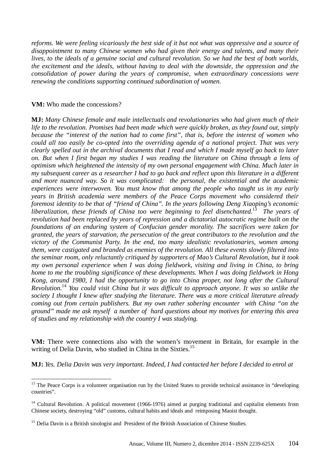*reforms. We were feeling vicariously the best side of it but not what was oppressive and a source of disappointment to many Chinese women who had given their energy and talents, and many their lives, to the ideals of a genuine social and cultural revolution. So we had the best of both worlds, the excitement and the ideals, without having to deal with the downside, the oppression and the consolidation of power during the years of compromise, when extraordinary concessions were renewing the conditions supporting continued subordination of women.*

### **VM:** Who made the concessions?

 $\overline{a}$ 

**MJ:** *Many Chinese female and male intellectuals and revolutionaries who had given much of their life to the revolution. Promises had been made which were quickly broken, as they found out, simply because the "interest of the nation had to come first", that is, before the interest of women who could all too easily be co-opted into the overriding agenda of a national project. That was very clearly spelled out in the archival documents that I read and which I made myself go back to later on. But when I first began my studies I was reading the literature on China through a lens of optimism which heightened the intensity of my own personal engagement with China. Much later in my subsequent career as a researcher I had to go back and reflect upon this literature in a different and more nuanced way. So it was complicated: the personal, the existential and the academic experiences were interwoven. You must know that among the people who taught us in my early years in British academia were members of the Peace Corps movement who considered their foremost identity to be that of "friend of China". In the years following Deng Xiaoping's economic liberalization, these friends of China too were beginning to feel disenchanted.*<sup>13</sup> *The years of revolution had been replaced by years of repression and a dictatorial autocratic regime built on the foundations of an enduring system of Confucian gender morality. The sacrifices were taken for granted, the years of starvation, the persecution of the great contributors to the revolution and the victory of the Communist Party. In the end, too many idealistic revolutionaries, women among them, were castigated and branded as enemies of the revolution. All these events slowly filtered into the seminar room, only reluctantly critiqued by supporters of Mao's Cultural Revolution, but it took my own personal experience when I was doing fieldwork, visiting and living in China, to bring home to me the troubling significance of these developments. When I was doing fieldwork in Hong Kong, around 1980, I had the opportunity to go into China proper, not long after the Cultural Revolution.*<sup>14</sup> *You could visit China but it was difficult to approach anyone. It was so unlike the society I thought I knew after studying the literature. There was a more critical literature already coming out from certain publishers. But my own rather sobering encounter with China "on the ground" made me ask myself a number of hard questions about my motives for entering this area of studies and my relationship with the country I was studying.* 

**VM:** There were connections also with the women's movement in Britain, for example in the writing of Delia Davin, who studied in China in the Sixties.<sup>15</sup>

**MJ:** *Yes. Delia Davin was very important. Indeed, I had contacted her before I decided to enrol at* 

<sup>&</sup>lt;sup>13</sup> The Peace Corps is a volunteer organisation run by the United States to provide technical assistance in "developing countries".

<sup>&</sup>lt;sup>14</sup> Cultural Revolution. A political movement (1966-1976) aimed at purging traditional and capitalist elements from Chinese society, destroying "old" customs, cultural habits and ideals and reimposing Maoist thought.

<sup>&</sup>lt;sup>15</sup> Delia Davin is a British sinologist and President of the British Association of Chinese Studies.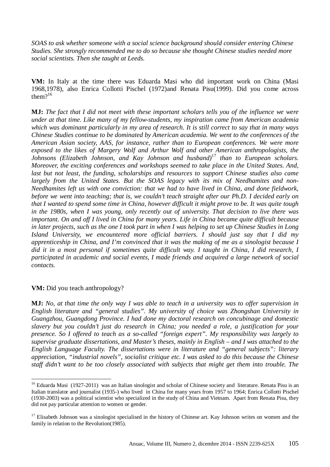*SOAS to ask whether someone with a social science background should consider entering Chinese Studies. She strongly recommended me to do so because she thought Chinese studies needed more social scientists. Then she taught at Leeds.* 

**VM:** In Italy at the time there was Eduarda Masi who did important work on China (Masi 1968,1978), also Enrica Collotti Pischel (1972)and Renata Pisu(1999). Did you come across them $2^{16}$ 

**MJ:** *The fact that I did not meet with these important scholars tells you of the influence we were under at that time. Like many of my fellow-students, my inspiration came from American academia which was dominant particularly in my area of research. It is still correct to say that in many ways Chinese Studies continue to be dominated by American academia. We went to the conferences of the American Asian society, AAS, for instance, rather than to European conferences. We were more exposed to the likes of Margery Wolf and Arthur Wolf and other American anthropologists, the Johnsons (Elizabeth Johnson, and Kay Johnson and husband)*<sup>17</sup> *than to European scholars. Moreover, the exciting conferences and workshops seemed to take place in the United States. And, last but not least, the funding, scholarships and resources to support Chinese studies also came largely from the United States. But the SOAS legacy with its mix of Needhamites and non-Needhamites left us with one conviction: that we had to have lived in China, and done fieldwork, before we went into teaching; that is, we couldn't teach straight after our Ph.D. I decided early on that I wanted to spend some time in China, however difficult it might prove to be. It was quite tough in the 1980s, when I was young, only recently out of university. That decision to live there was important. On and off I lived in China for many years. Life in China became quite difficult because in later projects, such as the one I took part in when I was helping to set up Chinese Studies in Long Island University, we encountered more official barriers. I should just say that I did my apprenticeship in China, and I'm convinced that it was the making of me as a sinologist because I did it in a most personal if sometimes quite difficult way. I taught in China, I did research, I participated in academic and social events, I made friends and acquired a large network of social contacts.*

### **VM:** Did you teach anthropology?

**MJ:** *No, at that time the only way I was able to teach in a university was to offer supervision in English literature and "general studies". My university of choice was Zhongshan University in Guangzhou, Guangdong Province. I had done my doctoral research on concubinage and domestic slavery but you couldn't just do research in China; you needed a role, a justification for your presence. So I offered to teach as a so-called "foreign expert". My responsibility was largely to supervise graduate dissertations, and Master's theses, mainly in English – and I was attached to the English Language Faculty. The dissertations were in literature and "general subjects": literary appreciation, "industrial novels", socialist critique etc. I was asked to do this because the Chinese staff didn't want to be too closely associated with subjects that might get them into trouble. The* 

 $\overline{a}$ <sup>16</sup> Eduarda Masi (1927-2011) was an Italian sinologist and scholar of Chinese society and literature. Renata Pisu is an Italian translator and journalist (1935-) who lived in China for many years from 1957 to 1964; Enrica Collotti Pischel (1930-2003) was a political scientist who specialized in the study of China and Vietnam. Apart from Renata Pisu, they did not pay particular attention to women or gender.

 $17$  Elisabeth Johnson was a sinologist specialised in the history of Chinese art. Kay Johnson writes on women and the family in relation to the Revolution(1985).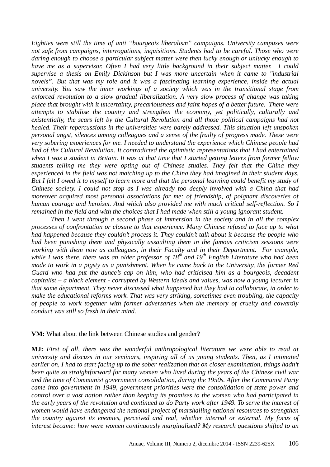*Eighties were still the time of anti "bourgeois liberalism" campaigns. University campuses were not safe from campaigns, interrogations, inquisitions. Students had to be careful. Those who were daring enough to choose a particular subject matter were then lucky enough or unlucky enough to have me as a supervisor. Often I had very little background in their subject matter. I could supervise a thesis on Emily Dickinson but I was more uncertain when it came to "industrial novels". But that was my role and it was a fascinating learning experience, inside the actual university. You saw the inner workings of a society which was in the transitional stage from enforced revolution to a slow gradual liberalization. A very slow process of change was taking place that brought with it uncertainty, precariousness and faint hopes of a better future. There were attempts to stabilise the country and strengthen the economy, yet politically, culturally and existentially, the scars left by the Cultural Revolution and all those political campaigns had not healed. Their repercussions in the universities were barely addressed. This situation left unspoken personal angst, silences among colleagues and a sense of the frailty of progress made. These were very sobering experiences for me. I needed to understand the experience which Chinese people had had of the Cultural Revolution. It contradicted the optimistic representations that I had entertained when I was a student in Britain. It was at that time that I started getting letters from former fellow students telling me they were opting out of Chinese studies. They felt that the China they experienced in the field was not matching up to the China they had imagined in their student days. But I felt I owed it to myself to learn more and that the personal learning could benefit my study of Chinese society. I could not stop as I was already too deeply involved with a China that had moreover acquired most personal associations for me: of friendship, of poignant discoveries of human courage and heroism. And which also provided me with much critical self-reflection. So I remained in the field and with the choices that I had made when still a young ignorant student.* 

*Then I went through a second phase of immersion in the society and in all the complex processes of confrontation or closure to that experience. Many Chinese refused to face up to what had happened because they couldn't process it. They couldn't talk about it because the people who had been punishing them and physically assaulting them in the famous criticism sessions were working with them now as colleagues, in their Faculty and in their Department. For example, while I was there, there was an older professor of 18th and 19th English Literature who had been made to work in a pigsty as a punishment. When he came back to the University, the former Red Guard who had put the dunce's cap on him, who had criticised him as a bourgeois, decadent capitalist – a black element - corrupted by Western ideals and values, was now a young lecturer in that same department. They never discussed what happened but they had to collaborate, in order to make the educational reforms work. That was very striking, sometimes even troubling, the capacity of people to work together with former adversaries when the memory of cruelty and cowardly conduct was still so fresh in their mind.* 

#### **VM:** What about the link between Chinese studies and gender?

**MJ:** *First of all, there was the wonderful anthropological literature we were able to read at university and discuss in our seminars, inspiring all of us young students. Then, as I intimated earlier on, I had to start facing up to the sober realization that on closer examination, things hadn't been quite so straightforward for many women who lived during the years of the Chinese civil war and the time of Communist government consolidation, during the 1950s. After the Communist Party came into government in 1949, government priorities were the consolidation of state power and control over a vast nation rather than keeping its promises to the women who had participated in the early years of the revolution and continued to do Party work after 1949. To serve the interest of women would have endangered the national project of marshalling national resources to strengthen the country against its enemies, perceived and real, whether internal or external. My focus of interest became: how were women continuously marginalised? My research questions shifted to an*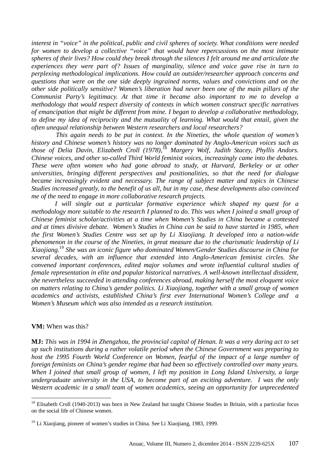*interest in "voice" in the political, public and civil spheres of society. What conditions were needed for women to develop a collective "voice" that would have repercussions on the most intimate spheres of their lives? How could they break through the silences I felt around me and articulate the experiences they were part of? Issues of marginality, silence and voice gave rise in turn to perplexing methodological implications. How could an outsider/researcher approach concerns and questions that were on the one side deeply ingrained norms, values and convictions and on the other side politically sensitive? Women's liberation had never been one of the main pillars of the Communist Party's legitimacy. At that time it became also important to me to develop a methodology that would respect diversity of contexts in which women construct specific narratives of emancipation that might be different from mine. I began to develop a collaborative methodology, to define my idea of reciprocity and the mutuality of learning. What would that entail, given the often unequal relationship between Western researchers and local researchers?*

 *This again needs to be put in context. In the Nineties, the whole question of women's history and Chinese women's history was no longer dominated by Anglo-American voices such as those of Delia Davin, Elizabeth Croll (1978),*<sup>18</sup> *Margery Wolf, Judith Stacey, Phyllis Andors. Chinese voices, and other so-called Third World feminist voices, increasingly came into the debates. These were often women who had gone abroad to study, at Harvard, Berkeley or at other universities, bringing different perspectives and positionalities, so that the need for dialogue became increasingly evident and necessary. The range of subject matter and topics in Chinese Studies increased greatly, to the benefit of us all, but in my case, these developments also convinced me of the need to engage in more collaborative research projects.* 

*I* will single out a particular formative experience which shaped my quest for a *methodology more suitable to the research I planned to do. This was when I joined a small group of Chinese feminist scholar/activities at a time when Women's Studies in China became a contested and at times divisive debate. Women's Studies in China can be said to have started in 1985, when the first Women's Studies Centre was set up by Li Xiaojiang. It developed into a nation-wide phenomenon in the course of the Nineties, in great measure due to the charismatic leadership of Li Xiaojiang.*<sup>19</sup> *She was an iconic figure who dominated Women/Gender Studies discourse in China for several decades, with an influence that extended into Anglo-American feminist circles. She convened important conferences, edited major volumes and wrote influential cultural studies of female representation in elite and popular historical narratives. A well-known intellectual dissident, she nevertheless succeeded in attending conferences abroad, making herself the most eloquent voice on matters relating to China's gender politics. Li Xiaojiang, together with a small group of women academics and activists, established China's first ever International Women's College and a Women's Museum which was also intended as a research institution.*

#### **VM:** When was this?

**MJ:** *This was in 1994 in Zhengzhou, the provincial capital of Henan. It was a very daring act to set up such institutions during a rather volatile period when the Chinese Government was preparing to host the 1995 Fourth World Conference on Women, fearful of the impact of a large number of foreign feminists on China's gender regime that had been so effectively controlled over many years. When I joined that small group of women, I left my position in Long Island University, a large undergraduate university in the USA, to become part of an exciting adventure. I was the only Western academic in a small team of women academics, seeing an opportunity for unprecedented* 

 $\overline{a}$ <sup>18</sup> Elisabeth Croll (1940-2013) was born in New Zealand but taught Chinese Studies in Britain, with a particular focus on the social life of Chinese women.

<sup>19</sup> Li Xiaojiang, pioneer of women's studies in China. See Li Xiaojiang*,* 1983, 1999.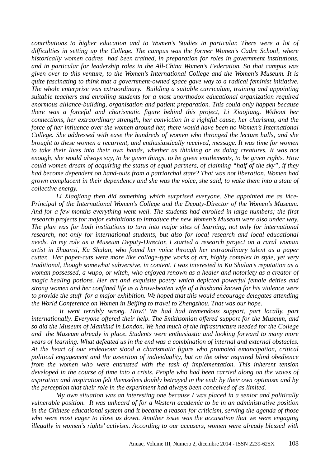*contributions to higher education and to Women's Studies in particular. There were a lot of difficulties in setting up the College. The campus was the former Women's Cadre School, where historically women cadres had been trained, in preparation for roles in government institutions, and in particular for leadership roles in the All-China Women's Federation. So that campus was given over to this venture, to the Women's International College and the Women's Museum. It is quite fascinating to think that a government-owned space gave way to a radical feminist initiative. The whole enterprise was extraordinary. Building a suitable curriculum, training and appointing suitable teachers and enrolling students for a most unorthodox educational organization required enormous alliance-building, organisation and patient preparation. This could only happen because there was a forceful and charismatic figure behind this project, Li Xiaojiang. Without her connections, her extraordinary strength, her conviction in a rightful cause, her charisma, and the force of her influence over the women around her, there would have been no Women's International College. She addressed with ease the hundreds of women who thronged the lecture halls, and she brought to these women a recurrent, and enthusiastically received, message. It was time for women to take their lives into their own hands, whether as thinking or as doing creatures. It was not enough, she would always say, to be given things, to be given entitlements, to be given rights. How could women dream of acquiring the status of equal partners, of claiming "half of the sky", if they had become dependent on hand-outs from a patriarchal state? That was not liberation. Women had grown complacent in their dependency and she was the voice, she said, to wake them into a state of collective energy.* 

 *Li Xiaojiang then did something which surprised everyone. She appointed me as Vice-Principal of the International Women's College and the Deputy-Director of the Women's Museum. And for a few months everything went well. The students had enrolled in large numbers; the first research projects for major exhibitions to introduce the new Women's Museum were also under way. The plan was for both institutions to turn into major sites of learning, not only for international research, not only for international students, but also for local research and local educational needs. In my role as a Museum Deputy-Director, I started a research project on a rural woman artist in Shaanxi, Ku Shulan, who found her voice through her extraordinary talent as a paper cutter. Her paper-cuts were more like collage-type works of art, highly complex in style, yet very traditional, though somewhat subversive, in content. I was interested in Ku Shulan's reputation as a woman possessed, a wupo, or witch, who enjoyed renown as a healer and notoriety as a creator of magic healing potions. Her art and exquisite poetry which depicted powerful female deities and strong women and her confined life as a brow-beaten wife of a husband known for his violence were to provide the stuff for a major exhibition. We hoped that this would encourage delegates attending the World Conference on Women in Beijing to travel to Zhengzhou. That was our hope*.

 *It went terribly wrong. How? We had had tremendous support, part locally, part internationally. Everyone offered their help. The Smithsonian offered support for the Museum, and so did the Museum of Mankind in London. We had much of the infrastructure needed for the College and the Museum already in place. Students were enthusiastic and looking forward to many more years of learning. What defeated us in the end was a combination of internal and external obstacles. At the heart of our endeavour stood a charismatic figure who promoted emancipation, critical political engagement and the assertion of individuality, but on the other required blind obedience from the women who were entrusted with the task of implementation. This inherent tension developed in the course of time into a crisis. People who had been carried along on the waves of aspiration and inspiration felt themselves doubly betrayed in the end: by their own optimism and by the perception that their role in the experiment had always been conceived of as limited.* 

 *My own situation was an interesting one because I was placed in a senior and politically vulnerable position. It was unheard of for a Western academic to be in an administrative position in the Chinese educational system and it became a reason for criticism, serving the agenda of those who were most eager to close us down. Another issue was the accusation that we were engaging illegally in women's rights' activism. According to our accusers, women were already blessed with*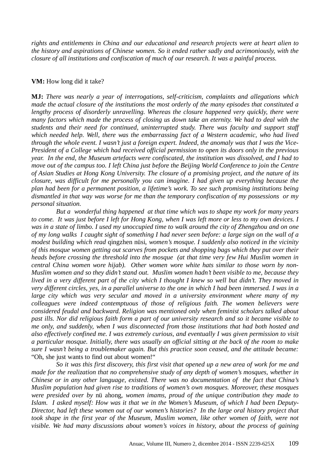*rights and entitlements in China and our educational and research projects were at heart alien to the history and aspirations of Chinese women. So it ended rather sadly and acrimoniously, with the closure of all institutions and confiscation of much of our research. It was a painful process.*

### **VM:** How long did it take?

**MJ:** *There was nearly a year of interrogations, self-criticism, complaints and allegations which made the actual closure of the institutions the most orderly of the many episodes that constituted a lengthy process of disorderly unravelling. Whereas the closure happened very quickly, there were many factors which made the process of closing us down take an eternity. We had to deal with the students and their need for continued, uninterrupted study. There was faculty and support staff which needed help. Well, there was the embarrassing fact of a Western academic, who had lived through the whole event. I wasn't just a foreign expert. Indeed, the anomaly was that I was the Vice-President of a College which had received official permission to open its doors only in the previous year. In the end, the Museum artefacts were confiscated, the institution was dissolved, and I had to move out of the campus too. I left China just before the Beijing World Conference to join the Centre of Asian Studies at Hong Kong University. The closure of a promising project, and the nature of its closure, was difficult for me personally you can imagine. I had given up everything because the plan had been for a permanent position, a lifetime's work. To see such promising institutions being dismantled in that way was worse for me than the temporary confiscation of my possessions or my personal situation.* 

 *But a wonderful thing happened at that time which was to shape my work for many years to come. It was just before I left for Hong Kong, when I was left more or less to my own devices. I was in a state of limbo. I used my unoccupied time to walk around the city of Zhengzhou and on one of my long walks I caught sight of something I had never seen before: a large sign on the wall of a modest building which read* qingzhen nüsi, *women's mosque. I suddenly also noticed in the vicinity of this mosque women getting out scarves from pockets and shopping bags which they put over their heads before crossing the threshold into the mosque (at that time very few Hui Muslim women in central China women wore hijab). Other women wore white hats similar to those worn by non-Muslim women and so they didn't stand out. Muslim women hadn't been visible to me, because they lived in a very different part of the city which I thought I knew so well but didn't. They moved in very different circles, yes, in a parallel universe to the one in which I had been immersed. I was in a large city which was very secular and moved in a university environment where many of my colleagues were indeed contemptuous of those of religious faith. The women believers were considered feudal and backward. Religion was mentioned only when feminist scholars talked about past ills. Nor did religious faith form a part of our university research and so it became visible to me only, and suddenly, when I was disconnected from those institutions that had both hosted and also effectively confined me. I was extremely curious, and eventually I was given permission to visit a particular mosque. Initially, there was usually an official sitting at the back of the room to make sure I wasn't being a troublemaker again. But this practice soon ceased, and the attitude became:* "Oh, she just wants to find out about women!"

 *So it was this first discovery, this first visit that opened up a new area of work for me and made for the realization that no comprehensive study of any depth of women's mosques, whether in Chinese or in any other language, existed. There was no documentation of the fact that China's Muslim population had given rise to traditions of women's own mosques. Moreover, these mosques were presided over by* nü ahong, *women imams, proud of the unique contribution they made to Islam. I asked myself: How was it that we in the Women's Museum, of which I had been Deputy-Director, had left these women out of our women's histories? In the large oral history project that took shape in the first year of the Museum, Muslim women, like other women of faith, were not visible. We had many discussions about women's voices in history, about the process of gaining*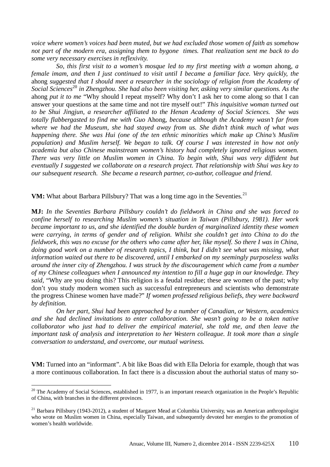*voice where women's voices had been muted, but we had excluded those women of faith as somehow not part of the modern era, assigning them to bygone times. That realization sent me back to do some very necessary exercises in reflexivity.* 

 *So, this first visit to a women's mosque led to my first meeting with a woman* ahong*, a female imam, and then I just continued to visit until I became a familiar face. Very quickly, the* ahong *suggested that I should meet a researcher in the sociology of religion from the Academy of Social Sciences*<sup>20</sup> *in Zhengzhou. She had also been visiting her, asking very similar questions. As the* ahong *put it to me* "Why should I repeat myself? Why don't I ask her to come along so that I can answer your questions at the same time and not tire myself out!" *This inquisitive woman turned out to be Shui Jingjun, a researcher affiliated to the Henan Academy of Social Sciences. She was totally flabbergasted to find me with Guo* Ahong, *because although the Academy wasn't far from where we had the Museum, she had stayed away from us. She didn't think much of what was happening there. She was Hui (one of the ten ethnic minorities which make up China's Muslim population) and Muslim herself. We began to talk. Of course I was interested in how not only academia but also Chinese mainstream women's history had completely ignored religious women. There was very little on Muslim women in China. To begin with, Shui was very diffident but eventually I suggested we collaborate on a research project. That relationship with Shui was key to our subsequent research. She became a research partner, co-author, colleague and friend.*

**VM:** What about Barbara Pillsbury? That was a long time ago in the Seventies.<sup>21</sup>

**MJ:** *In the Seventies Barbara Pillsbury couldn't do fieldwork in China and she was forced to confine herself to researching Muslim women's situation in Taiwan (Pillsbury, 1981). Her work became important to us, and she identified the double burden of marginalized identity these women were carrying, in terms of gender and of religion. Whilst she couldn't get into China to do the fieldwork, this was no excuse for the others who came after her, like myself. So there I was in China, doing good work on a number of research topics, I think, but I didn't see what was missing, what information waited out there to be discovered, until I embarked on my seemingly purposeless walks around the inner city of Zhengzhou. I was struck by the discouragement which came from a number of my Chinese colleagues when I announced my intention to fill a huge gap in our knowledge. They said,* "Why are you doing this? This religion is a feudal residue; these are women of the past; why don't you study modern women such as successful entrepreneurs and scientists who demonstrate the progress Chinese women have made?" *If women professed religious beliefs, they were backward by definition.* 

 *On her part, Shui had been approached by a number of Canadian, or Western, academics and she had declined invitations to enter collaboration. She wasn't going to be a token native collaborator who just had to deliver the empirical material, she told me, and then leave the important task of analysis and interpretation to her Western colleague. It took more than a single conversation to understand, and overcome, our mutual wariness.*

**VM:** Turned into an "informant". A bit like Boas did with Ella Deloria for example, though that was a more continuous collaboration. In fact there is a discussion about the authorial status of many so-

 $\overline{a}$ 

 $20$  The Academy of Social Sciences, established in 1977, is an important research organization in the People's Republic of China, with branches in the different provinces.

 $^{21}$  Barbara Pillsbury (1943-2012), a student of Margaret Mead at Columbia University, was an American anthropologist who wrote on Muslim women in China, especially Taiwan, and subsequently devoted her energies to the promotion of women's health worldwide.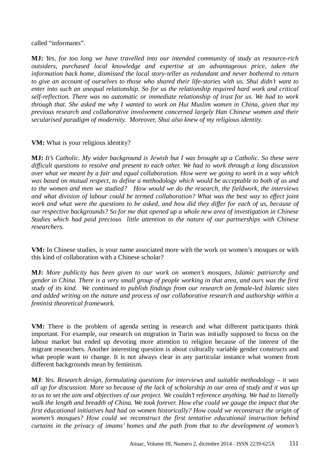called "informants".

**MJ:** *Yes, for too long we have travelled into our intended community of study as resource-rich outsiders, purchased local knowledge and expertise at an advantageous price, taken the information back home, dismissed the local story-teller as redundant and never bothered to return to give an account of ourselves to those who shared their life-stories with us. Shui didn't want to enter into such an unequal relationship. So for us the relationship required hard work and critical self-reflection. There was no automatic or immediate relationship of trust for us. We had to work through that. She asked me why I wanted to work on Hui Muslim women in China, given that my previous research and collaborative involvement concerned largely Han Chinese women and their secularised paradigm of modernity. Moreover, Shui also knew of my religious identity.*

## **VM:** What is your religious identity?

**MJ:** *It's Catholic. My wider background is Jewish but I was brought up a Catholic. So these were difficult questions to resolve and present to each other. We had to work through a long discussion over what we meant by a fair and equal collaboration. How were we going to work in a way which was based on mutual respect, to define a methodology which would be acceptable to both of us and to the women and men we studied? How would we do the research, the fieldwork, the interviews and what division of labour could be termed collaboration? What was the best way to effect joint work and what were the questions to be asked, and how did they differ for each of us, because of our respective backgrounds? So for me that opened up a whole new area of investigation in Chinese Studies which had paid precious little attention to the nature of our partnerships with Chinese researchers.* 

**VM:** In Chinese studies, is your name associated more with the work on women's mosques or with this kind of collaboration with a Chinese scholar?

**MJ:** *More publicity has been given to our work on women's mosques, Islamic patriarchy and gender in China. There is a very small group of people working in that area, and ours was the first study of its kind. We continued to publish findings from our research on female-led Islamic sites and added writing on the nature and process of our collaborative research and authorship within a feminist theoretical framework.*

**VM:** There is the problem of agenda setting in research and what different participants think important. For example, our research on migration in Turin was initially supposed to focus on the labour market but ended up devoting more attention to religion because of the interest of the migrant researchers. Another interesting question is about culturally variable gender constructs and what people want to change. It is not always clear in any particular instance what women from different backgrounds mean by feminism.

**MJ**: *Yes. Research design, formulating questions for interviews and suitable methodology – it was all up for discussion. More so because of the lack of scholarship in our area of study and it was up to us to set the aim and objectives of our project. We couldn't reference anything. We had to literally*  walk the length and breadth of China. We took forever. How else could we gauge the impact that the *first educational initiatives had had on women historically? How could we reconstruct the origin of women's mosques? How could we reconstruct the first tentative educational instruction behind curtains in the privacy of imams' homes and the path from that to the development of women's*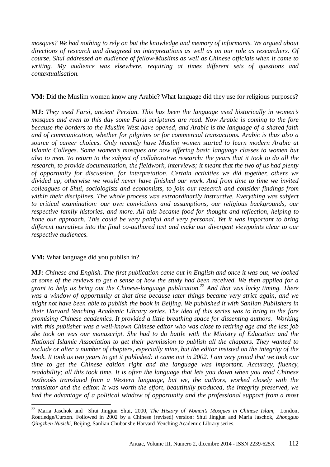*mosques? We had nothing to rely on but the knowledge and memory of informants. We argued about directions of research and disagreed on interpretations as well as on our role as researchers. Of course, Shui addressed an audience of fellow-Muslims as well as Chinese officials when it came to writing. My audience was elsewhere, requiring at times different sets of questions and contextualisation.* 

## **VM:** Did the Muslim women know any Arabic? What language did they use for religious purposes?

**MJ:** *They used Farsi, ancient Persian. This has been the language used historically in women's mosques and even to this day some Farsi scriptures are read. Now Arabic is coming to the fore because the borders to the Muslim West have opened, and Arabic is the language of a shared faith and of communication, whether for pilgrims or for commercial transactions. Arabic is thus also a source of career choices. Only recently have Muslim women started to learn modern Arabic at Islamic Colleges. Some women's mosques are now offering basic language classes to women but also to men. To return to the subject of collaborative research: the years that it took to do all the research, to provide documentation, the fieldwork, interviews; it meant that the two of us had plenty of opportunity for discussion, for interpretation. Certain activities we did together, others we divided up, otherwise we would never have finished our work. And from time to time we invited colleagues of Shui, sociologists and economists, to join our research and consider findings from within their disciplines. The whole process was extraordinarily instructive. Everything was subject to critical examination: our own convictions and assumptions, our religious backgrounds, our respective family histories, and more. All this became food for thought and reflection, helping to hone our approach. This could be very painful and very personal. Yet it was important to bring different narratives into the final co-authored text and make our divergent viewpoints clear to our respective audiences.*

## **VM:** What language did you publish in?

**MJ:** *Chinese and English. The first publication came out in English and once it was out, we looked at some of the reviews to get a sense of how the study had been received. We then applied for a grant to help us bring out the Chinese-language publication.*<sup>22</sup> *And that was lucky timing. There was a window of opportunity at that time because later things became very strict again, and we might not have been able to publish the book in Beijing. We published it with Sanlian Publishers in their Harvard Yenching Academic Library series. The idea of this series was to bring to the fore promising Chinese academics. It provided a little breathing space for dissenting authors. Working with this publisher was a well-known Chinese editor who was close to retiring age and the last job she took on was our manuscript. She had to do battle with the Ministry of Education and the National Islamic Association to get their permission to publish all the chapters. They wanted to exclude or alter a number of chapters, especially mine, but the editor insisted on the integrity of the book. It took us two years to get it published: it came out in 2002. I am very proud that we took our time to get the Chinese edition right and the language was important. Accuracy, fluency, readability; all this took time. It is often the language that lets you down when you read Chinese textbooks translated from a Western language, but we, the authors, worked closely with the translator and the editor. It was worth the effort, beautifully produced, the integrity preserved, we had the advantage of a political window of opportunity and the professional support from a most* 

 $\overline{a}$ <sup>22</sup> Maria Jaschok and Shui Jingjun Shui, 2000, *The History of Women's Mosques in Chinese Islam*, London, Routledge/Curzon. Followed in 2002 by a Chinese (revised) version: Shui Jingjun and Maria Jaschok, *Zhongguo Qingzhen Nüsishi*, Beijing, Sanlian Chubanshe Harvard-Yenching Academic Library series.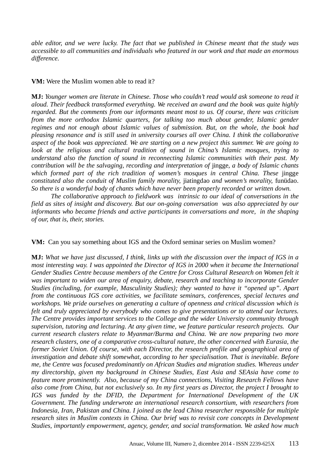*able editor, and we were lucky. The fact that we published in Chinese meant that the study was accessible to all communities and individuals who featured in our work and that made an enormous difference.*

### **VM:** Were the Muslim women able to read it?

**MJ:** *Younger women are literate in Chinese. Those who couldn't read would ask someone to read it aloud. Their feedback transformed everything. We received an award and the book was quite highly regarded. But the comments from our informants meant most to us. Of course, there was criticism from the more orthodox Islamic quarters, for talking too much about gender, Islamic gender regimes and not enough about Islamic values of submission. But, on the whole, the book had pleasing resonance and is still used in university courses all over China. I think the collaborative aspect of the book was appreciated. We are starting on a new project this summer. We are going to look at the religious and cultural tradition of sound in China's Islamic mosques, trying to understand also the function of sound in reconnecting Islamic communities with their past. My contribution will be the salvaging, recording and interpretation of* jingge, *a body of Islamic chants which formed part of the rich tradition of women's mosques in central China. These* jingge *constituted also the conduit of Muslim family morality,* jiatingdao *and women's morality,* funüdao. *So there is a wonderful body of chants which have never been properly recorded or written down.* 

*The collaborative approach to fieldwork was intrinsic to our ideal of conversations in the field as sites of insight and discovery. But our on-going conversation was also appreciated by our informants who became friends and active participants in conversations and more, in the shaping of our, that is, their, stories.* 

**VM:** Can you say something about IGS and the Oxford seminar series on Muslim women?

**MJ:** *What we have just discussed, I think, links up with the discussion over the impact of IGS in a most interesting way. I was appointed the Director of IGS in 2000 when it became the International Gender Studies Centre because members of the Centre for Cross Cultural Research on Women felt it was important to widen our area of enquiry, debate, research and teaching to incorporate Gender Studies (including, for example, Masculinity Studies); they wanted to have it "opened up". Apart from the continuous IGS core activities, we facilitate seminars, conferences, special lectures and workshops. We pride ourselves on generating a culture of openness and critical discussion which is felt and truly appreciated by everybody who comes to give presentations or to attend our lectures. The Centre provides important services to the College and the wider University community through supervision, tutoring and lecturing. At any given time, we feature particular research projects. Our current research clusters relate to Myanmar/Burma and China. We are now preparing two more research clusters, one of a comparative cross-cultural nature, the other concerned with Eurasia, the former Soviet Union. Of course, with each Director, the research profile and geographical area of investigation and debate shift somewhat, according to her specialisation. That is inevitable. Before me, the Centre was focused predominantly on African Studies and migration studies. Whereas under my directorship, given my background in Chinese Studies, East Asia and SEAsia have come to feature more prominently. Also, because of my China connections, Visiting Research Fellows have also come from China, but not exclusively so. In my first years as Director, the project I brought to IGS was funded by the DFID, the Department for International Development of the UK Government. The funding underwrote an international research consortium, with researchers from Indonesia, Iran, Pakistan and China. I joined as the lead China researcher responsible for multiple research sites in Muslim contexts in China. Our brief was to revisit core concepts in Development Studies, importantly empowerment, agency, gender, and social transformation. We asked how much*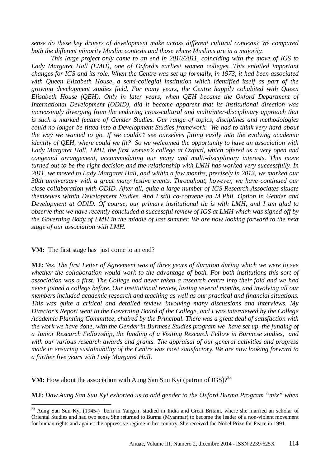*sense do these key drivers of development make across different cultural contexts? We compared both the different minority Muslim contexts and those where Muslims are in a majority.* 

*This large project only came to an end in 2010/2011, coinciding with the move of IGS to*  Lady Margaret Hall (LMH), one of Oxford's earliest women colleges. This entailed important *changes for IGS and its role. When the Centre was set up formally, in 1973, it had been associated with Queen Elizabeth House, a semi-collegial institution which identified itself as part of the growing development studies field. For many years, the Centre happily cohabited with Queen Elisabeth House (QEH). Only in later years, when QEH became the Oxford Department of International Development (ODID), did it become apparent that its institutional direction was increasingly diverging from the enduring cross-cultural and multi/inter-disciplinary approach that is such a marked feature of Gender Studies. Our range of topics, disciplines and methodologies could no longer be fitted into a Development Studies framework. We had to think very hard about the way we wanted to go. If we couldn't see ourselves fitting easily into the evolving academic identity of QEH, where could we fit? So we welcomed the opportunity to have an association with Lady Margaret Hall, LMH, the first women's college at Oxford, which offered us a very open and congenial arrangement, accommodating our many and multi-disciplinary interests. This move turned out to be the right decision and the relationship with LMH has worked very successfully. In 2011, we moved to Lady Margaret Hall, and within a few months, precisely in 2013, we marked our 30th anniversary with a great many festive events. Throughout, however, we have continued our close collaboration with ODID. After all, quite a large number of IGS Research Associates situate themselves within Development Studies. And I still co-convene an M.Phil. Option in Gender and Development at ODID. Of course, our primary institutional tie is with LMH, and I am glad to observe that we have recently concluded a successful review of IGS at LMH which was signed off by the Governing Body of LMH in the middle of last summer. We are now looking forward to the next stage of our association with LMH.* 

#### **VM:** The first stage has just come to an end?

 $\overline{a}$ 

**MJ:** *Yes. The first Letter of Agreement was of three years of duration during which we were to see whether the collaboration would work to the advantage of both. For both institutions this sort of association was a first. The College had never taken a research centre into their fold and we had never joined a college before. Our institutional review, lasting several months, and involving all our members included academic research and teaching as well as our practical and financial situations. This was quite a critical and detailed review, involving many discussions and interviews. My Director's Report went to the Governing Board of the College, and I was interviewed by the College Academic Planning Committee, chaired by the Principal. There was a great deal of satisfaction with the work we have done, with the Gender in Burmese Studies program we have set up, the funding of a Junior Research Fellowship, the funding of a Visiting Research Fellow in Burmese studies, and with our various research awards and grants. The appraisal of our general activities and progress made in ensuring sustainability of the Centre was most satisfactory. We are now looking forward to a further five years with Lady Margaret Hall.*

**VM:** How about the association with Aung San Suu Kyi (patron of IGS)?<sup>23</sup>

**MJ:** *Daw Aung San Suu Kyi exhorted us to add gender to the Oxford Burma Program "mix" when* 

 $^{23}$  Aung San Suu Kyi (1945-) born in Yangon, studied in India and Great Britain, where she married an scholar of Oriental Studies and had two sons. She returned to Burma (Myanmar) to become the leader of a non-violent movement for human rights and against the oppressive regime in her country. She received the Nobel Prize for Peace in 1991.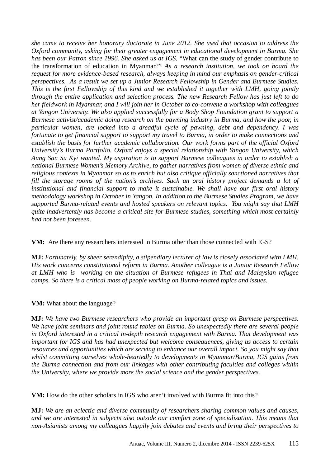*she came to receive her honorary doctorate in June 2012. She used that occasion to address the Oxford community, asking for their greater engagement in educational development in Burma. She has been our Patron since 1996. She asked us at IGS,* "What can the study of gender contribute to the transformation of education in Myanmar?" *As a research institution, we took on board the request for more evidence-based research, always keeping in mind our emphasis on gender-critical perspectives. As a result we set up a Junior Research Fellowship in Gender and Burmese Studies. This is the first Fellowship of this kind and we established it together with LMH, going jointly through the entire application and selection process. The new Research Fellow has just left to do her fieldwork in Myanmar, and I will join her in October to co-convene a workshop with colleagues at Yangon University. We also applied successfully for a Body Shop Foundation grant to support a Burmese activist/academic doing research on the pawning industry in Burma, and how the poor, in particular women, are locked into a dreadful cycle of pawning, debt and dependency. I was fortunate to get financial support to support my travel to Burma, in order to make connections and establish the basis for further academic collaboration. Our work forms part of the official Oxford University's Burma Portfolio. Oxford enjoys a special relationship with Yangon University, which Aung San Su Kyi wanted. My aspiration is to support Burmese colleagues in order to establish a national Burmese Women's Memory Archive, to gather narratives from women of diverse ethnic and religious contexts in Myanmar so as to enrich but also critique officially sanctioned narratives that*  fill the storage rooms of the nation's archives. Such an oral history project demands a lot of *institutional and financial support to make it sustainable. We shall have our first oral history methodology workshop in October in Yangon. In addition to the Burmese Studies Program, we have supported Burma-related events and hosted speakers on relevant topics. You might say that LMH quite inadvertently has become a critical site for Burmese studies, something which most certainly had not been foreseen.*

## **VM:**Are there any researchers interested in Burma other than those connected with IGS?

**MJ:** *Fortunately, by sheer serendipity, a stipendiary lecturer of law is closely associated with LMH. His work concerns constitutional reform in Burma. Another colleague is a Junior Research Fellow at LMH who is working on the situation of Burmese refugees in Thai and Malaysian refugee camps. So there is a critical mass of people working on Burma-related topics and issues*.

## **VM:** What about the language?

**MJ:** *We have two Burmese researchers who provide an important grasp on Burmese perspectives. We have joint seminars and joint round tables on Burma. So unexpectedly there are several people in Oxford interested in a critical in-depth research engagement with Burma. That development was important for IGS and has had unexpected but welcome consequences, giving us access to certain resources and opportunities which are serving to enhance our overall impact. So you might say that whilst committing ourselves whole-heartedly to developments in Myanmar/Burma, IGS gains from the Burma connection and from our linkages with other contributing faculties and colleges within the University, where we provide more the social science and the gender perspectives.*

## **VM:** How do the other scholars in IGS who aren't involved with Burma fit into this?

**MJ:** *We are an eclectic and diverse community of researchers sharing common values and causes, and we are interested in subjects also outside our comfort zone of specialisation. This means that non-Asianists among my colleagues happily join debates and events and bring their perspectives to*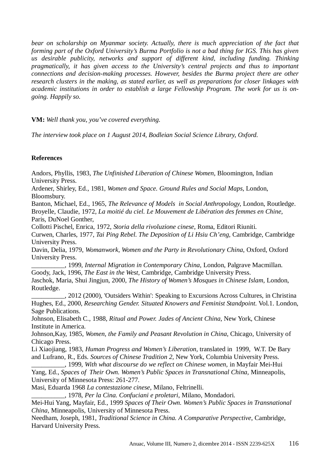*bear on scholarship on Myanmar society. Actually, there is much appreciation of the fact that forming part of the Oxford University's Burma Portfolio is not a bad thing for IGS. This has given us desirable publicity, networks and support of different kind, including funding. Thinking pragmatically, it has given access to the University's central projects and thus to important connections and decision-making processes. However, besides the Burma project there are other research clusters in the making, as stated earlier, as well as preparations for closer linkages with academic institutions in order to establish a large Fellowship Program. The work for us is ongoing. Happily so.* 

**VM:** *Well thank you, you've covered everything.*

*The interview took place on 1 August 2014, Bodleian Social Science Library, Oxford.* 

## **References**

Andors, Phyllis, 1983, *The Unfinished Liberation of Chinese Women*, Bloomington, Indian University Press.

Ardener, Shirley, Ed., 1981, *Women and Space. Ground Rules and Social Maps,* London, Bloomsbury.

Banton, Michael, Ed., 1965, *The Relevance of Models in Social Anthropology,* London, Routledge. Broyelle, Claudie, 1972, *La moitié du ciel. Le Mouvement de Libération des femmes en Chine,* Paris, DuNoel Gonther,

Collotti Pischel, Enrica, 1972, *Storia della rivoluzione cinese*, Roma, Editori Riuniti.

Curwen, Charles, 1977, *Tai Ping Rebel. The Deposition of Li Hsiu Ch'eng,* Cambridge, Cambridge University Press.

Davin, Delia, 1979, *Womanwork, Women and the Party in Revolutionary China*, Oxford, Oxford University Press.

\_\_\_\_\_\_\_\_\_\_, 1999, *Internal Migration in Contemporary China*, London, Palgrave Macmillan. Goody, Jack, 1996, *The East in the West*, Cambridge, Cambridge University Press. Jaschok, Maria, Shui Jingjun, 2000, *The History of Women's Mosques in Chinese Islam,* London,

Routledge.

\_\_\_\_\_\_\_\_\_\_, 2012 (2000), 'Outsiders Within': Speaking to Excursions Across Cultures, in Christina Hughes, Ed., 2000, *Researching Gender. Situated Knowers and Feminist Standpoint.* Vol.1. London, Sage Publications.

Johnson, Elisabeth C., 1988, *Ritual and Power. Jades of Ancient China*, New York, Chinese Institute in America.

Johnson,Kay, 1985, *Women, the Family and Peasant Revolution in China*, Chicago, University of Chicago Press.

Li Xiaojiang, 1983, *Human Progress and Women's Liberation,* translated in 1999, W.T. De Bary and Lufrano, R., Eds. *Sources of Chinese Tradition 2,* New York, Columbia University Press.

\_\_\_\_\_\_\_\_\_\_, 1999, *With what discourse do we reflect on Chinese women,* in Mayfair Mei-Hui Yang, Ed., *Spaces of Their Own. Women's Public Spaces in Transnational China,* Minneapolis, University of Minnesota Press: 261-277.

Masi, Eduarda 1968 *La contestazione cinese*, Milano, Feltrinelli.

\_\_\_\_\_\_\_\_\_\_, 1978, *Per la Cina. Confuciani e proletari*, Milano, Mondadori.

Mei-Hui Yang, Mayfair, Ed., 1999 *Spaces of Their Own. Women's Public Spaces in Transnational China*, Minneapolis, University of Minnesota Press.

Needham, Joseph, 1981, *Traditional Science in China. A Comparative Perspective*, Cambridge, Harvard University Press.